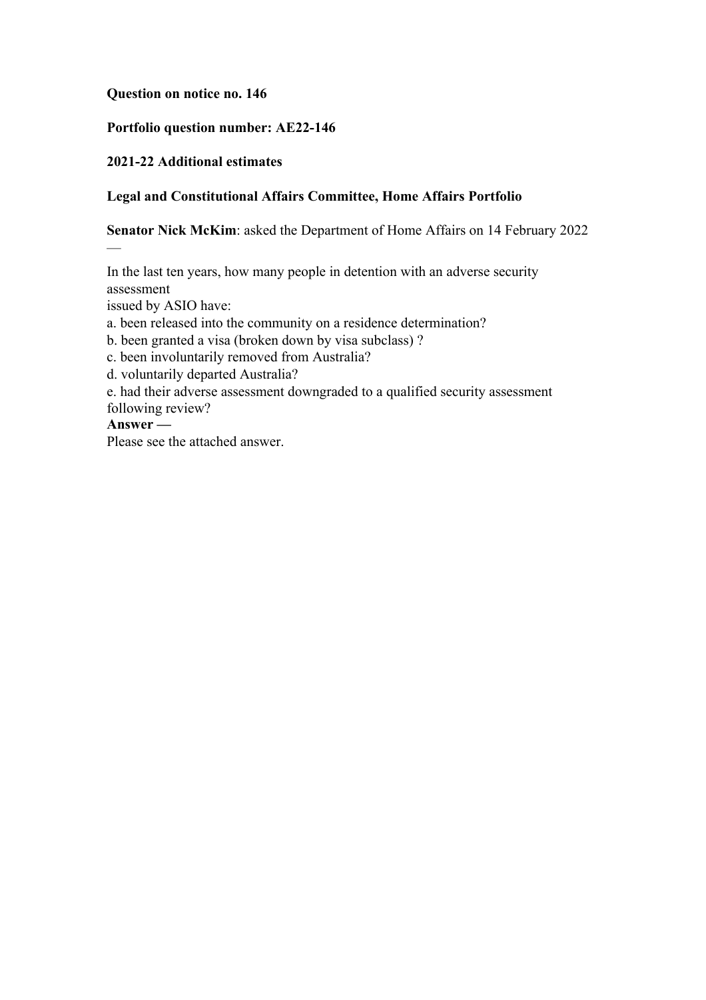## **Question on notice no. 146**

## **Portfolio question number: AE22-146**

## **2021-22 Additional estimates**

## **Legal and Constitutional Affairs Committee, Home Affairs Portfolio**

**Senator Nick McKim**: asked the Department of Home Affairs on 14 February 2022

In the last ten years, how many people in detention with an adverse security assessment

issued by ASIO have:

a. been released into the community on a residence determination?

b. been granted a visa (broken down by visa subclass) ?

c. been involuntarily removed from Australia?

d. voluntarily departed Australia?

e. had their adverse assessment downgraded to a qualified security assessment following review?

## **Answer —**

—

Please see the attached answer.